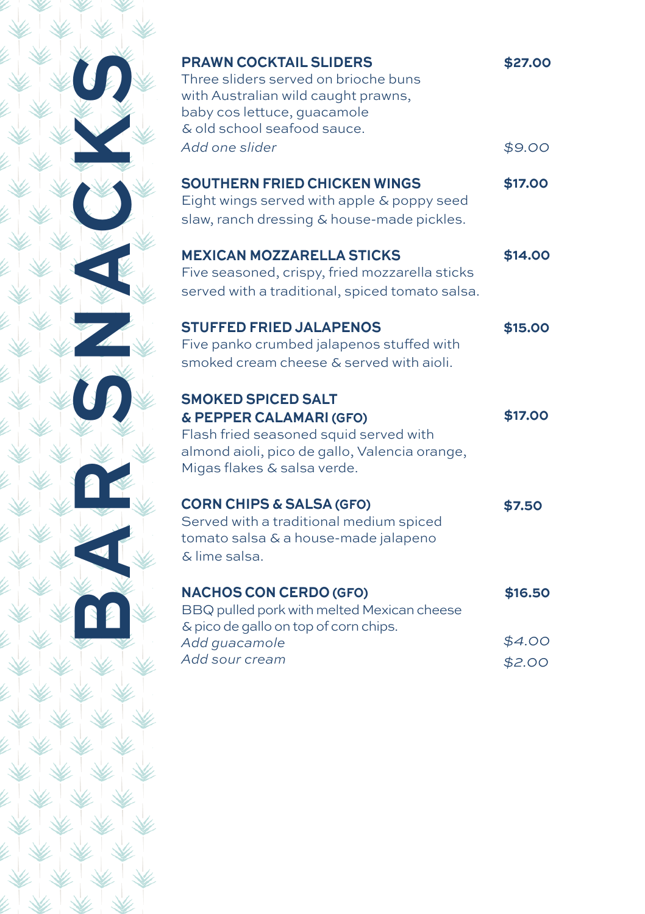| <b>PRAWN COCKTAIL SLIDERS</b><br>Three sliders served on brioche buns<br>with Australian wild caught prawns,<br>baby cos lettuce, guacamole<br>& old school seafood sauce.     | \$27.00 |
|--------------------------------------------------------------------------------------------------------------------------------------------------------------------------------|---------|
| Add one slider                                                                                                                                                                 | \$9.00  |
| <b>SOUTHERN FRIED CHICKEN WINGS</b><br>Eight wings served with apple & poppy seed<br>slaw, ranch dressing & house-made pickles.                                                | \$17.00 |
| <b>MEXICAN MOZZARELLA STICKS</b><br>Five seasoned, crispy, fried mozzarella sticks<br>served with a traditional, spiced tomato salsa.                                          | \$14.00 |
| <b>STUFFED FRIED JALAPENOS</b><br>Five panko crumbed jalapenos stuffed with<br>smoked cream cheese & served with aioli.                                                        | \$15.00 |
| <b>SMOKED SPICED SALT</b><br>& PEPPER CALAMARI (GFO)<br>Flash fried seasoned squid served with<br>almond aioli, pico de gallo, Valencia orange,<br>Migas flakes & salsa verde. | \$17.00 |
| <b>CORN CHIPS &amp; SALSA (GFO)</b><br>Served with a traditional medium spiced<br>tomato salsa & a house-made jalapeno<br>& lime salsa.                                        | \$7.50  |
| <b>NACHOS CON CERDO (GFO)</b><br>BBQ pulled pork with melted Mexican cheese<br>& pico de gallo on top of corn chips.                                                           | \$16.50 |
| Add guacamole                                                                                                                                                                  | \$4.00  |
| Add sour cream                                                                                                                                                                 | \$2.00  |
|                                                                                                                                                                                |         |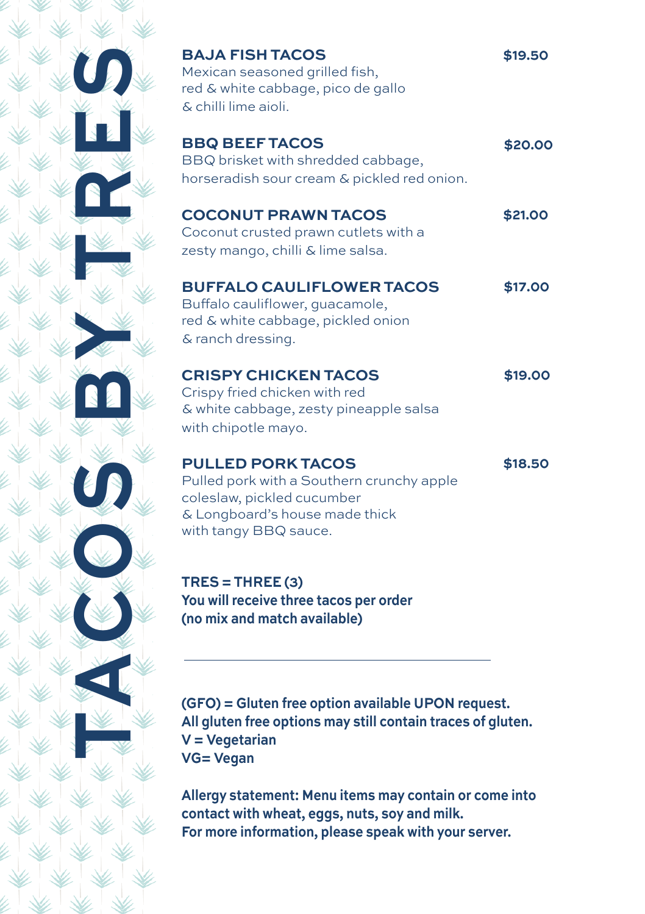| <b>BAJA FISH TACOS</b>                                      | \$19.50 |
|-------------------------------------------------------------|---------|
| Mexican seasoned grilled fish,                              |         |
| red & white cabbage, pico de gallo                          |         |
| & chilli lime aioli.                                        |         |
| <b>BBQ BEEF TACOS</b>                                       | \$20.00 |
| BBQ brisket with shredded cabbage,                          |         |
| horseradish sour cream & pickled red onion.                 |         |
|                                                             |         |
| <b>COCONUT PRAWN TACOS</b>                                  | \$21.00 |
| Coconut crusted prawn cutlets with a                        |         |
| zesty mango, chilli & lime salsa.                           |         |
| <b>BUFFALO CAULIFLOWER TACOS</b>                            | \$17.00 |
| Buffalo cauliflower, quacamole,                             |         |
| red & white cabbage, pickled onion                          |         |
| & ranch dressing.                                           |         |
|                                                             |         |
| <b>CRISPY CHICKEN TACOS</b>                                 | \$19.00 |
| Crispy fried chicken with red                               |         |
| & white cabbage, zesty pineapple salsa                      |         |
| with chipotle mayo.                                         |         |
|                                                             |         |
| <b>PULLED PORK TACOS</b>                                    | \$18.50 |
| Pulled pork with a Southern crunchy apple                   |         |
| coleslaw, pickled cucumber                                  |         |
| & Longboard's house made thick                              |         |
| with tangy BBQ sauce.                                       |         |
|                                                             |         |
| $TRES = THREE(3)$                                           |         |
| You will receive three tacos per order                      |         |
| (no mix and match available)                                |         |
|                                                             |         |
|                                                             |         |
|                                                             |         |
| (GFO) = Gluten free option available UPON request.          |         |
| All gluten free options may still contain traces of gluten. |         |
| $V = Vegetarian$                                            |         |
| <b>VG= Vegan</b>                                            |         |
|                                                             |         |

**Allergy statement: Menu items may contain or come into contact with wheat, eggs, nuts, soy and milk. For more information, please speak with your server.**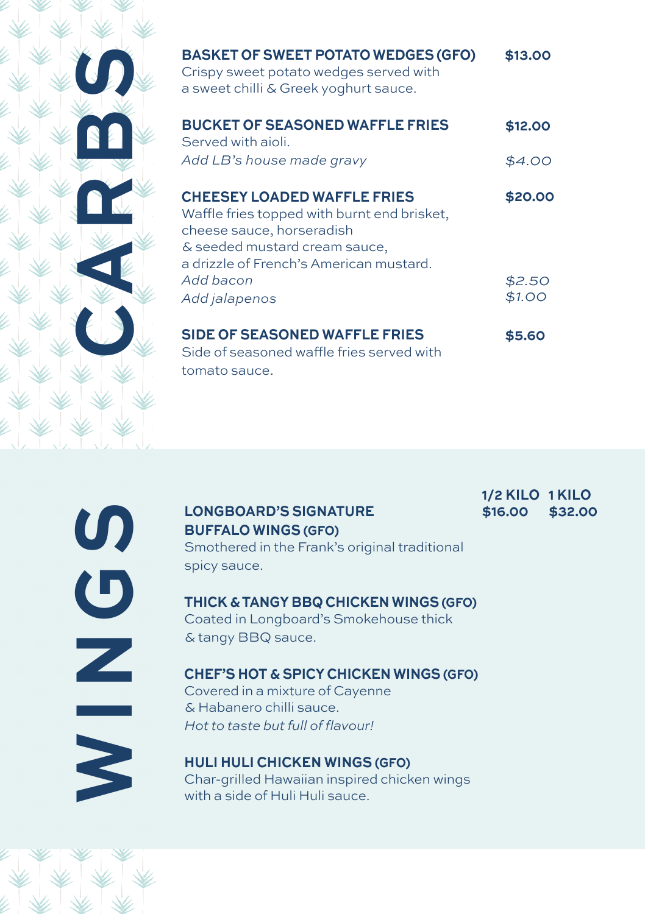| <b>BASKET OF SWEET POTATO WEDGES (GFO)</b><br>Crispy sweet potato wedges served with<br>a sweet chilli & Greek yoghurt sauce.                                                              | \$13.00           |
|--------------------------------------------------------------------------------------------------------------------------------------------------------------------------------------------|-------------------|
| <b>BUCKET OF SEASONED WAFFLE FRIES</b><br>Served with aioli.<br>Add LB's house made gravy                                                                                                  | \$12.00<br>\$4.00 |
| <b>CHEESEY LOADED WAFFLE FRIES</b><br>Waffle fries topped with burnt end brisket,<br>cheese sauce, horseradish<br>& seeded mustard cream sauce,<br>a drizzle of French's American mustard. | \$20.00           |
| Add bacon<br>Add jalapenos                                                                                                                                                                 | \$2.50<br>\$1.00  |
| <b>SIDE OF SEASONED WAFFLE FRIES</b><br>Side of seasoned waffle fries served with<br>tomato sauce.                                                                                         | \$5.60            |

LONGBOARD'S SIGNATURE<br>
BUFFALO WINGS (GFO)<br>
Smothered in the Frank's origin<br>
spicy sauce.<br>
THICK & TANGY BBQ CHICKE<br>
Coated in Longboard's Smoke<br>
& tangy BBQ sauce.<br>
CHEF'S HOT & SPICY CHICKE<br>
Covered in a mixture of Cayen Smothered in the Frank's original traditional spicy sauce. **THICK & TANGY BBQ CHICKEN WINGS (GFO)** Coated in Longboard's Smokehouse thick & tangy BBQ sauce.

## **BUFFALO WINGS (GFO)**

**\$16.00 \$32.00 1/2 KILO 1 KILO**

## **CHEF'S HOT & SPICY CHICKEN WINGS (GFO)**

Covered in a mixture of Cayenne & Habanero chilli sauce. Hot to taste but full of flavour!

**HULI HULI CHICKEN WINGS (GFO)** Char-grilled Hawaiian inspired chicken wings with a side of Huli Huli sauce.